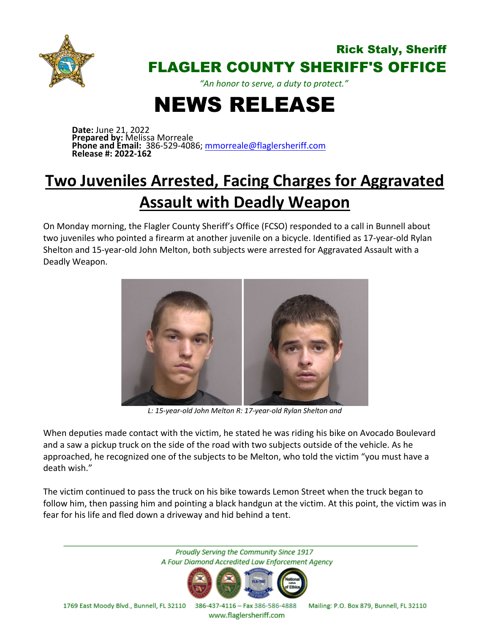

## Rick Staly, Sheriff FLAGLER COUNTY SHERIFF'S OFFICE

*"An honor to serve, a duty to protect."*

## NEWS RELEASE

**Date:** June 21, 2022 **Prepared by:** Melissa Morreale **Phone and Email:** 386-529-4086; [mmorreale@flaglersheriff.com](mailto:mmorreale@flaglersheriff.com) **Release #: 2022-162**

## **Two Juveniles Arrested, Facing Charges for Aggravated Assault with Deadly Weapon**

On Monday morning, the Flagler County Sheriff's Office (FCSO) responded to a call in Bunnell about two juveniles who pointed a firearm at another juvenile on a bicycle. Identified as 17-year-old Rylan Shelton and 15-year-old John Melton, both subjects were arrested for Aggravated Assault with a Deadly Weapon.



*L: 15-year-old John Melton R: 17-year-old Rylan Shelton and*

When deputies made contact with the victim, he stated he was riding his bike on Avocado Boulevard and a saw a pickup truck on the side of the road with two subjects outside of the vehicle. As he approached, he recognized one of the subjects to be Melton, who told the victim "you must have a death wish."

The victim continued to pass the truck on his bike towards Lemon Street when the truck began to follow him, then passing him and pointing a black handgun at the victim. At this point, the victim was in fear for his life and fled down a driveway and hid behind a tent.

Proudly Serving the Community Since 1917 A Four Diamond Accredited Law Enforcement Agency 1769 East Moody Blvd., Bunnell, FL 32110 386-437-4116 - Fax 386-586-4888 Mailing: P.O. Box 879, Bunnell, FL 32110

www.flaglersheriff.com